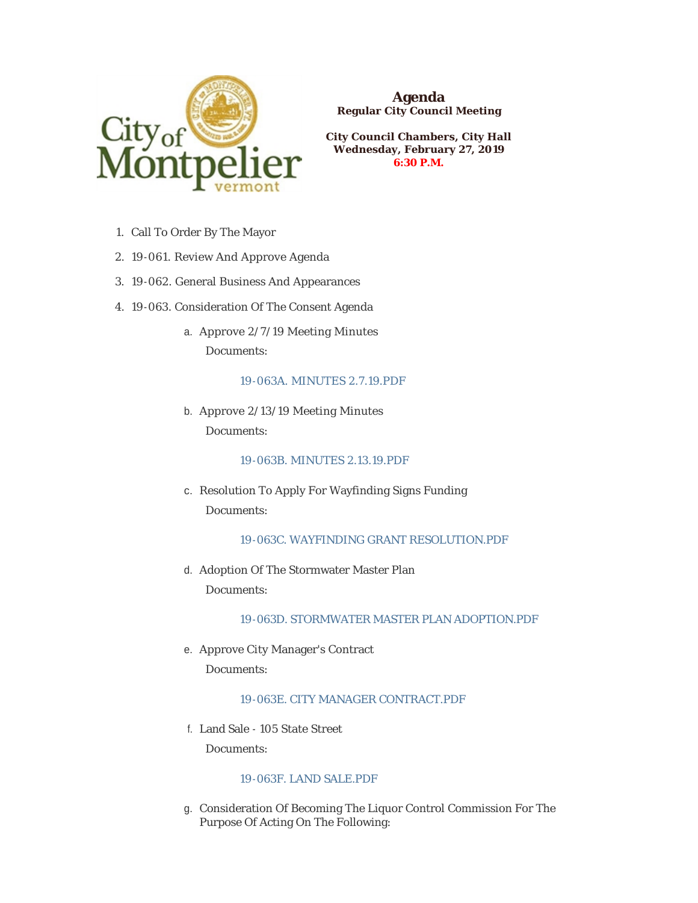

**Agenda Regular City Council Meeting**

**City Council Chambers, City Hall Wednesday, February 27, 2019 6:30 P.M.**

- 1. Call To Order By The Mayor
- 19-061. Review And Approve Agenda 2.
- 19-062. General Business And Appearances 3.
- 4. 19-063. Consideration Of The Consent Agenda
	- a. Approve 2/7/19 Meeting Minutes Documents:

[19-063A. MINUTES 2.7.19.PDF](https://www.montpelier-vt.org/AgendaCenter/ViewFile/Item/1291?fileID=9612)

b. Approve 2/13/19 Meeting Minutes Documents:

## [19-063B. MINUTES 2.13.19.PDF](https://www.montpelier-vt.org/AgendaCenter/ViewFile/Item/1295?fileID=9611)

- c. Resolution To Apply For Wayfinding Signs Funding Documents:
	- [19-063C. WAYFINDING GRANT RESOLUTION.PDF](https://www.montpelier-vt.org/AgendaCenter/ViewFile/Item/1298?fileID=9617)
- d. Adoption Of The Stormwater Master Plan Documents:

[19-063D. STORMWATER MASTER PLAN ADOPTION.PDF](https://www.montpelier-vt.org/AgendaCenter/ViewFile/Item/1304?fileID=9626)

e. Approve City Manager's Contract Documents:

19-063E. CITY MANAGER CONTRACT PDF

Land Sale - 105 State Street f.

Documents:

# [19-063F. LAND SALE.PDF](https://www.montpelier-vt.org/AgendaCenter/ViewFile/Item/1305?fileID=9623)

g. Consideration Of Becoming The Liquor Control Commission For The Purpose Of Acting On The Following: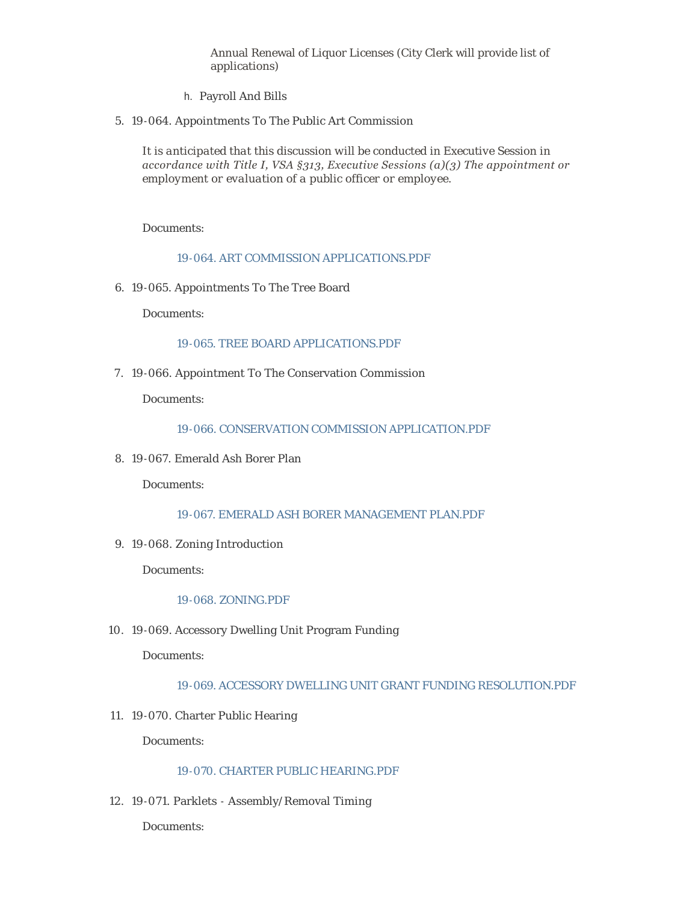Annual Renewal of Liquor Licenses (City Clerk will provide list of applications)

- h. Payroll And Bills
- 19-064. Appointments To The Public Art Commission 5.

*It is anticipated that this discussion will be conducted in Executive Session in accordance with Title I, VSA §313, Executive Sessions (a)(3) The appointment or employment or evaluation of a public officer or employee.*

Documents:

[19-064. ART COMMISSION APPLICATIONS.PDF](https://www.montpelier-vt.org/AgendaCenter/ViewFile/Item/1299?fileID=9613)

19-065. Appointments To The Tree Board 6.

Documents:

#### [19-065. TREE BOARD APPLICATIONS.PDF](https://www.montpelier-vt.org/AgendaCenter/ViewFile/Item/1282?fileID=9614)

7. 19-066. Appointment To The Conservation Commission

Documents:

[19-066. CONSERVATION COMMISSION APPLICATION.PDF](https://www.montpelier-vt.org/AgendaCenter/ViewFile/Item/1283?fileID=9615)

19-067. Emerald Ash Borer Plan 8.

Documents:

[19-067. EMERALD ASH BORER MANAGEMENT PLAN.PDF](https://www.montpelier-vt.org/AgendaCenter/ViewFile/Item/1303?fileID=9619)

19-068. Zoning Introduction 9.

Documents:

#### [19-068. ZONING.PDF](https://www.montpelier-vt.org/AgendaCenter/ViewFile/Item/1278?fileID=9616)

19-069. Accessory Dwelling Unit Program Funding 10.

Documents:

## [19-069. ACCESSORY DWELLING UNIT GRANT FUNDING RESOLUTION.PDF](https://www.montpelier-vt.org/AgendaCenter/ViewFile/Item/1292?fileID=9620)

19-070. Charter Public Hearing 11.

Documents:

## [19-070. CHARTER PUBLIC HEARING.PDF](https://www.montpelier-vt.org/AgendaCenter/ViewFile/Item/1279?fileID=9622)

19-071. Parklets - Assembly/Removal Timing 12.

Documents: